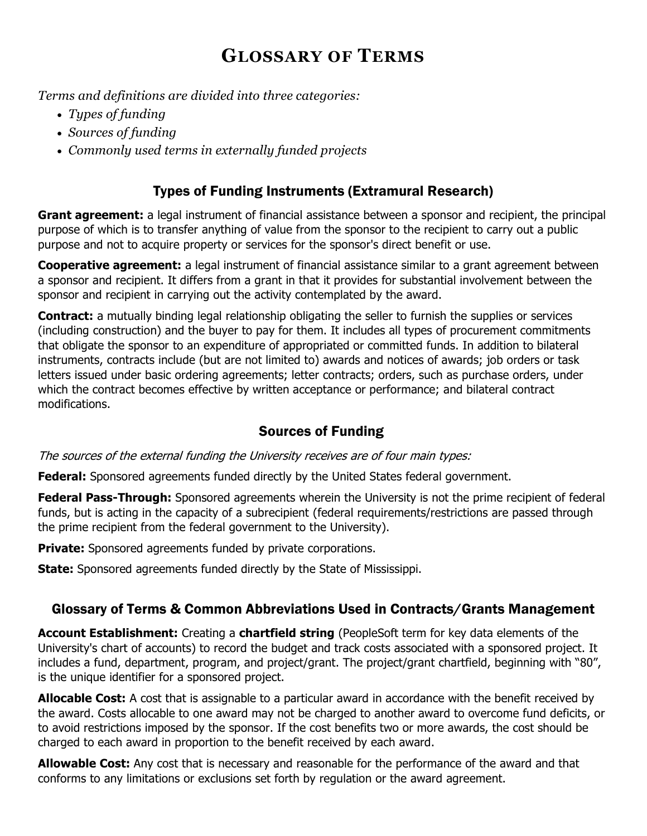# **GLOSSARY OF TERMS**

*Terms and definitions are divided into three categories:*

- *Types of funding*
- *Sources of funding*
- *Commonly used terms in externally funded projects*

## Types of Funding Instruments (Extramural Research)

**Grant agreement:** a legal instrument of financial assistance between a sponsor and recipient, the principal purpose of which is to transfer anything of value from the sponsor to the recipient to carry out a public purpose and not to acquire property or services for the sponsor's direct benefit or use.

**Cooperative agreement:** a legal instrument of financial assistance similar to a grant agreement between a sponsor and recipient. It differs from a grant in that it provides for substantial involvement between the sponsor and recipient in carrying out the activity contemplated by the award.

**Contract:** a mutually binding legal relationship obligating the seller to furnish the supplies or services (including construction) and the buyer to pay for them. It includes all types of procurement commitments that obligate the sponsor to an expenditure of appropriated or committed funds. In addition to bilateral instruments, contracts include (but are not limited to) awards and notices of awards; job orders or task letters issued under basic ordering agreements; letter contracts; orders, such as purchase orders, under which the contract becomes effective by written acceptance or performance; and bilateral contract modifications.

### Sources of Funding

The sources of the external funding the University receives are of four main types:

**Federal:** Sponsored agreements funded directly by the United States federal government.

**Federal Pass-Through:** Sponsored agreements wherein the University is not the prime recipient of federal funds, but is acting in the capacity of a subrecipient (federal requirements/restrictions are passed through the prime recipient from the federal government to the University).

**Private:** Sponsored agreements funded by private corporations.

**State:** Sponsored agreements funded directly by the State of Mississippi.

### Glossary of Terms & Common Abbreviations Used in Contracts/Grants Management

**Account Establishment:** Creating a **chartfield string** (PeopleSoft term for key data elements of the University's chart of accounts) to record the budget and track costs associated with a sponsored project. It includes a fund, department, program, and project/grant. The project/grant chartfield, beginning with "80", is the unique identifier for a sponsored project.

**Allocable Cost:** A cost that is assignable to a particular award in accordance with the benefit received by the award. Costs allocable to one award may not be charged to another award to overcome fund deficits, or to avoid restrictions imposed by the sponsor. If the cost benefits two or more awards, the cost should be charged to each award in proportion to the benefit received by each award.

**Allowable Cost:** Any cost that is necessary and reasonable for the performance of the award and that conforms to any limitations or exclusions set forth by regulation or the award agreement.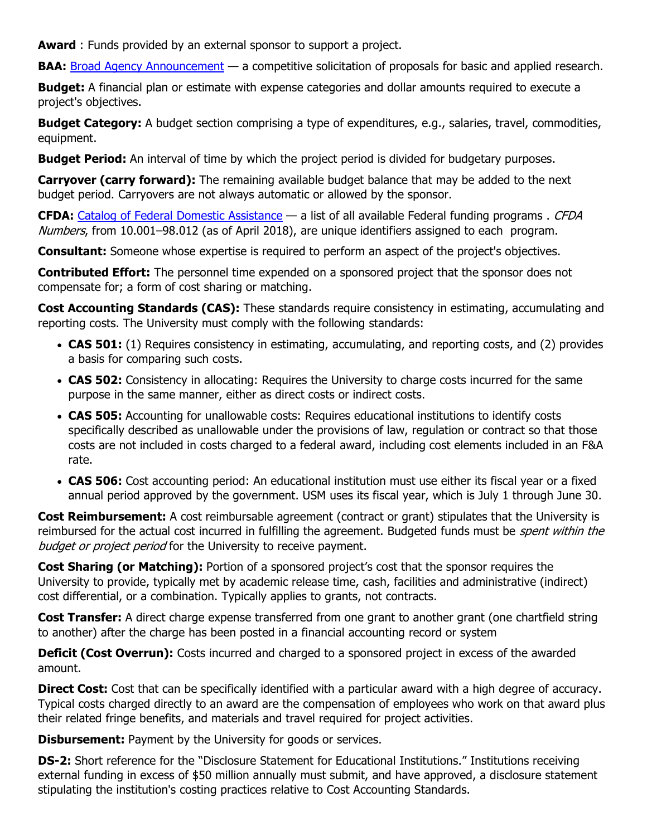**Award** : Funds provided by an external sponsor to support a project.

**BAA:** [Broad Agency Announcement](http://www.arl.army.mil/www/default.cfm?page=8) — a competitive solicitation of proposals for basic and applied research.

**Budget:** A financial plan or estimate with expense categories and dollar amounts required to execute a project's objectives.

**Budget Category:** A budget section comprising a type of expenditures, e.g., salaries, travel, commodities, equipment.

**Budget Period:** An interval of time by which the project period is divided for budgetary purposes.

**Carryover (carry forward):** The remaining available budget balance that may be added to the next budget period. Carryovers are not always automatic or allowed by the sponsor.

**CFDA:** [Catalog of Federal Domestic Assistance](https://www.cfda.gov/) — a list of all available Federal funding programs . CFDA Numbers, from 10.001–98.012 (as of April 2018), are unique identifiers assigned to each program.

**Consultant:** Someone whose expertise is required to perform an aspect of the project's objectives.

**Contributed Effort:** The personnel time expended on a sponsored project that the sponsor does not compensate for; a form of cost sharing or matching.

**Cost Accounting Standards (CAS):** These standards require consistency in estimating, accumulating and reporting costs. The University must comply with the following standards:

- **CAS 501:** (1) Requires consistency in estimating, accumulating, and reporting costs, and (2) provides a basis for comparing such costs.
- **CAS 502:** Consistency in allocating: Requires the University to charge costs incurred for the same purpose in the same manner, either as direct costs or indirect costs.
- **CAS 505:** Accounting for unallowable costs: Requires educational institutions to identify costs specifically described as unallowable under the provisions of law, regulation or contract so that those costs are not included in costs charged to a federal award, including cost elements included in an F&A rate.
- **CAS 506:** Cost accounting period: An educational institution must use either its fiscal year or a fixed annual period approved by the government. USM uses its fiscal year, which is July 1 through June 30.

**Cost Reimbursement:** A cost reimbursable agreement (contract or grant) stipulates that the University is reimbursed for the actual cost incurred in fulfilling the agreement. Budgeted funds must be *spent within the* budget or project period for the University to receive payment.

**Cost Sharing (or Matching):** Portion of a sponsored project's cost that the sponsor requires the University to provide, typically met by academic release time, cash, facilities and administrative (indirect) cost differential, or a combination. Typically applies to grants, not contracts.

**Cost Transfer:** A direct charge expense transferred from one grant to another grant (one chartfield string to another) after the charge has been posted in a financial accounting record or system

**Deficit (Cost Overrun):** Costs incurred and charged to a sponsored project in excess of the awarded amount.

**Direct Cost:** Cost that can be specifically identified with a particular award with a high degree of accuracy. Typical costs charged directly to an award are the compensation of employees who work on that award plus their related fringe benefits, and materials and travel required for project activities.

**Disbursement:** Payment by the University for goods or services.

**DS-2:** Short reference for the "Disclosure Statement for Educational Institutions." Institutions receiving external funding in excess of \$50 million annually must submit, and have approved, a disclosure statement stipulating the institution's costing practices relative to Cost Accounting Standards.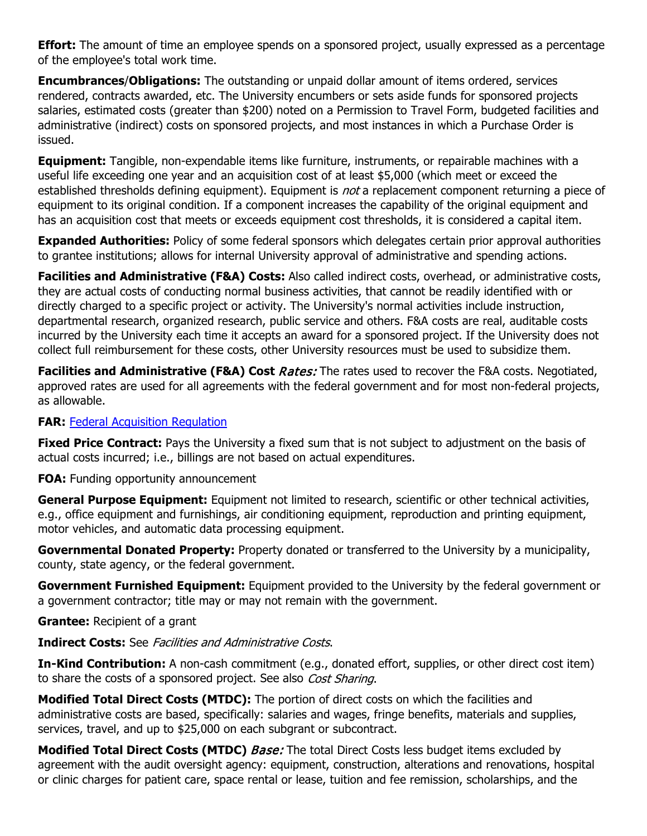**Effort:** The amount of time an employee spends on a sponsored project, usually expressed as a percentage of the employee's total work time.

**Encumbrances**/**Obligations:** The outstanding or unpaid dollar amount of items ordered, services rendered, contracts awarded, etc. The University encumbers or sets aside funds for sponsored projects salaries, estimated costs (greater than \$200) noted on a Permission to Travel Form, budgeted facilities and administrative (indirect) costs on sponsored projects, and most instances in which a Purchase Order is issued.

**Equipment:** Tangible, non-expendable items like furniture, instruments, or repairable machines with a useful life exceeding one year and an acquisition cost of at least \$5,000 (which meet or exceed the established thresholds defining equipment). Equipment is *not* a replacement component returning a piece of equipment to its original condition. If a component increases the capability of the original equipment and has an acquisition cost that meets or exceeds equipment cost thresholds, it is considered a capital item.

**Expanded Authorities:** Policy of some federal sponsors which delegates certain prior approval authorities to grantee institutions; allows for internal University approval of administrative and spending actions.

**Facilities and Administrative (F&A) Costs:** Also called indirect costs, overhead, or administrative costs, they are actual costs of conducting normal business activities, that cannot be readily identified with or directly charged to a specific project or activity. The University's normal activities include instruction, departmental research, organized research, public service and others. F&A costs are real, auditable costs incurred by the University each time it accepts an award for a sponsored project. If the University does not collect full reimbursement for these costs, other University resources must be used to subsidize them.

**Facilities and Administrative (F&A) Cost Rates:** The rates used to recover the F&A costs. Negotiated, approved rates are used for all agreements with the federal government and for most non-federal projects, as allowable.

#### **FAR:** [Federal Acquisition Regulation](https://www.acquisition.gov/)

**Fixed Price Contract:** Pays the University a fixed sum that is not subject to adjustment on the basis of actual costs incurred; i.e., billings are not based on actual expenditures.

**FOA:** Funding opportunity announcement

**General Purpose Equipment:** Equipment not limited to research, scientific or other technical activities, e.g., office equipment and furnishings, air conditioning equipment, reproduction and printing equipment, motor vehicles, and automatic data processing equipment.

**Governmental Donated Property:** Property donated or transferred to the University by a municipality, county, state agency, or the federal government.

**Government Furnished Equipment:** Equipment provided to the University by the federal government or a government contractor; title may or may not remain with the government.

**Grantee:** Recipient of a grant

#### **Indirect Costs:** See Facilities and Administrative Costs.

**In-Kind Contribution:** A non-cash commitment (e.g., donated effort, supplies, or other direct cost item) to share the costs of a sponsored project. See also Cost Sharing.

**Modified Total Direct Costs (MTDC):** The portion of direct costs on which the facilities and administrative costs are based, specifically: salaries and wages, fringe benefits, materials and supplies, services, travel, and up to \$25,000 on each subgrant or subcontract.

**Modified Total Direct Costs (MTDC)** *Base:* The total Direct Costs less budget items excluded by agreement with the audit oversight agency: equipment, construction, alterations and renovations, hospital or clinic charges for patient care, space rental or lease, tuition and fee remission, scholarships, and the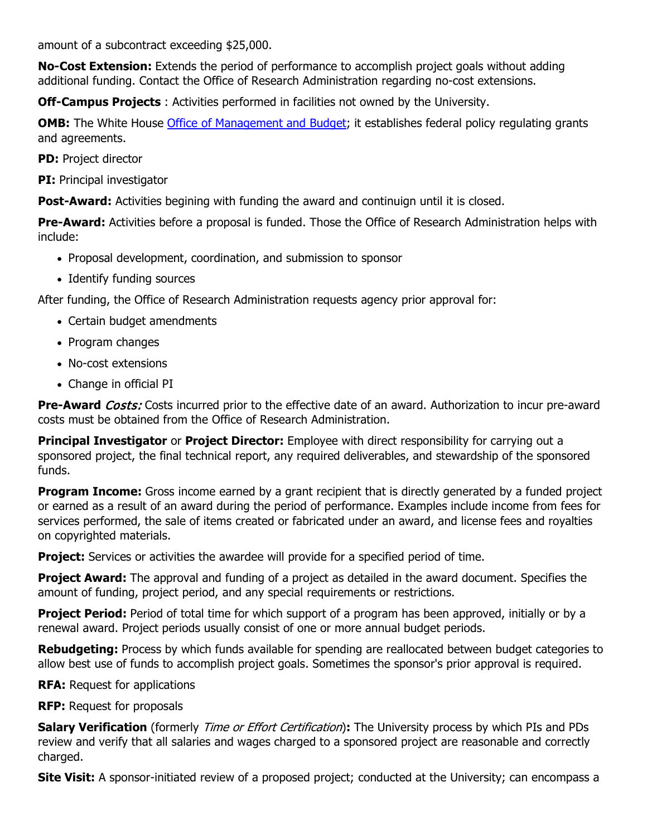amount of a subcontract exceeding \$25,000.

**No-Cost Extension:** Extends the period of performance to accomplish project goals without adding additional funding. Contact the Office of Research Administration regarding no-cost extensions.

**Off-Campus Projects** : Activities performed in facilities not owned by the University.

**OMB:** The White House [Office of Management and Budget;](https://www.whitehouse.gov/omb) it establishes federal policy regulating grants and agreements.

**PD:** Project director

**PI:** Principal investigator

**Post-Award:** Activities begining with funding the award and continuign until it is closed.

**Pre-Award:** Activities before a proposal is funded. Those the Office of Research Administration helps with include:

- Proposal development, coordination, and submission to sponsor
- Identify funding sources

After funding, the Office of Research Administration requests agency prior approval for:

- Certain budget amendments
- Program changes
- No-cost extensions
- Change in official PI

**Pre-Award** *Costs:* Costs incurred prior to the effective date of an award. Authorization to incur pre-award costs must be obtained from the Office of Research Administration.

**Principal Investigator** or **Project Director:** Employee with direct responsibility for carrying out a sponsored project, the final technical report, any required deliverables, and stewardship of the sponsored funds.

**Program Income:** Gross income earned by a grant recipient that is directly generated by a funded project or earned as a result of an award during the period of performance. Examples include income from fees for services performed, the sale of items created or fabricated under an award, and license fees and royalties on copyrighted materials.

**Project:** Services or activities the awardee will provide for a specified period of time.

**Project Award:** The approval and funding of a project as detailed in the award document. Specifies the amount of funding, project period, and any special requirements or restrictions.

**Project Period:** Period of total time for which support of a program has been approved, initially or by a renewal award. Project periods usually consist of one or more annual budget periods.

**Rebudgeting:** Process by which funds available for spending are reallocated between budget categories to allow best use of funds to accomplish project goals. Sometimes the sponsor's prior approval is required.

**RFA:** Request for applications

**RFP:** Request for proposals

**Salary Verification** (formerly Time or Effort Certification)**:** The University process by which PIs and PDs review and verify that all salaries and wages charged to a sponsored project are reasonable and correctly charged.

**Site Visit:** A sponsor-initiated review of a proposed project; conducted at the University; can encompass a